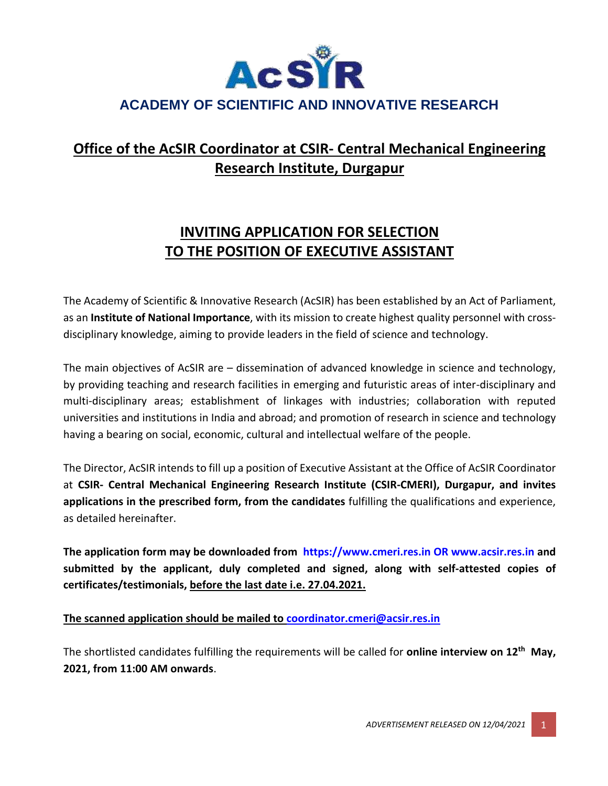

# **Office of the AcSIR Coordinator at CSIR- Central Mechanical Engineering Research Institute, Durgapur**

## **INVITING APPLICATION FOR SELECTION TO THE POSITION OF EXECUTIVE ASSISTANT**

The Academy of Scientific & Innovative Research (AcSIR) has been established by an Act of Parliament, as an **Institute of National Importance**, with its mission to create highest quality personnel with crossdisciplinary knowledge, aiming to provide leaders in the field of science and technology.

The main objectives of AcSIR are – dissemination of advanced knowledge in science and technology, by providing teaching and research facilities in emerging and futuristic areas of inter-disciplinary and multi-disciplinary areas; establishment of linkages with industries; collaboration with reputed universities and institutions in India and abroad; and promotion of research in science and technology having a bearing on social, economic, cultural and intellectual welfare of the people.

The Director, AcSIR intends to fill up a position of Executive Assistant at the Office of AcSIR Coordinator at **CSIR- Central Mechanical Engineering Research Institute (CSIR-CMERI), Durgapur, and invites applications in the prescribed form, from the candidates** fulfilling the qualifications and experience, as detailed hereinafter.

**The application form may be downloaded from https://www.cmeri.res.in OR www.acsir.res.in and submitted by the applicant, duly completed and signed, along with self-attested copies of certificates/testimonials, before the last date i.e. 27.04.2021.**

### **The scanned application should be mailed to [coordinator.cmeri@acsir.res.in](mailto:coordinator.cmeri@acsir.res.in)**

The shortlisted candidates fulfilling the requirements will be called for **online interview on 12th May, 2021, from 11:00 AM onwards**.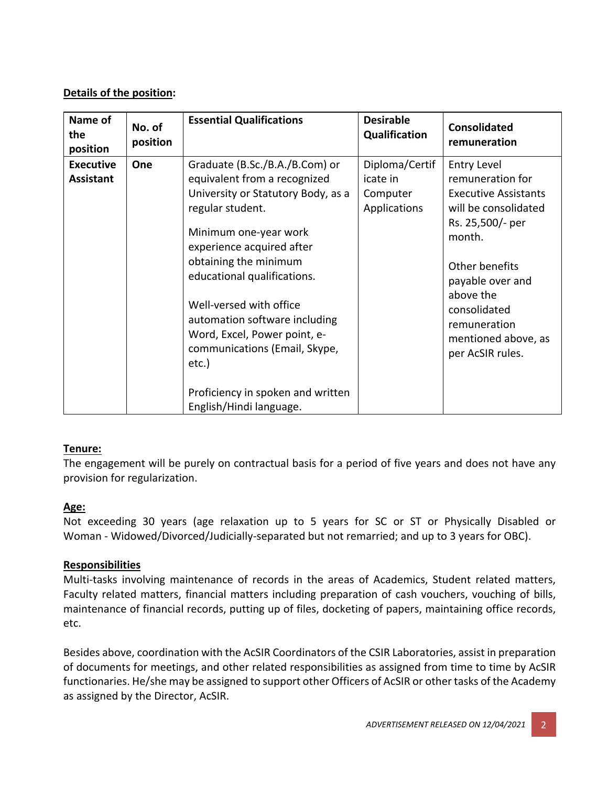### **Details of the position:**

| Name of<br>the<br>position           | No. of<br>position | <b>Essential Qualifications</b>                                                                                                                                                                                                                                                                                                                                                                                                              | <b>Desirable</b><br><b>Qualification</b>               | <b>Consolidated</b><br>remuneration                                                                                                                                                                                                                       |
|--------------------------------------|--------------------|----------------------------------------------------------------------------------------------------------------------------------------------------------------------------------------------------------------------------------------------------------------------------------------------------------------------------------------------------------------------------------------------------------------------------------------------|--------------------------------------------------------|-----------------------------------------------------------------------------------------------------------------------------------------------------------------------------------------------------------------------------------------------------------|
| <b>Executive</b><br><b>Assistant</b> | One                | Graduate (B.Sc./B.A./B.Com) or<br>equivalent from a recognized<br>University or Statutory Body, as a<br>regular student.<br>Minimum one-year work<br>experience acquired after<br>obtaining the minimum<br>educational qualifications.<br>Well-versed with office<br>automation software including<br>Word, Excel, Power point, e-<br>communications (Email, Skype,<br>etc.)<br>Proficiency in spoken and written<br>English/Hindi language. | Diploma/Certif<br>icate in<br>Computer<br>Applications | <b>Entry Level</b><br>remuneration for<br><b>Executive Assistants</b><br>will be consolidated<br>Rs. 25,500/- per<br>month.<br>Other benefits<br>payable over and<br>above the<br>consolidated<br>remuneration<br>mentioned above, as<br>per AcSIR rules. |

### **Tenure:**

The engagement will be purely on contractual basis for a period of five years and does not have any provision for regularization.

### **Age:**

Not exceeding 30 years (age relaxation up to 5 years for SC or ST or Physically Disabled or Woman - Widowed/Divorced/Judicially-separated but not remarried; and up to 3 years for OBC).

### **Responsibilities**

Multi-tasks involving maintenance of records in the areas of Academics, Student related matters, Faculty related matters, financial matters including preparation of cash vouchers, vouching of bills, maintenance of financial records, putting up of files, docketing of papers, maintaining office records, etc.

Besides above, coordination with the AcSIR Coordinators of the CSIR Laboratories, assist in preparation of documents for meetings, and other related responsibilities as assigned from time to time by AcSIR functionaries. He/she may be assigned to support other Officers of AcSIR or other tasks of the Academy as assigned by the Director, AcSIR.